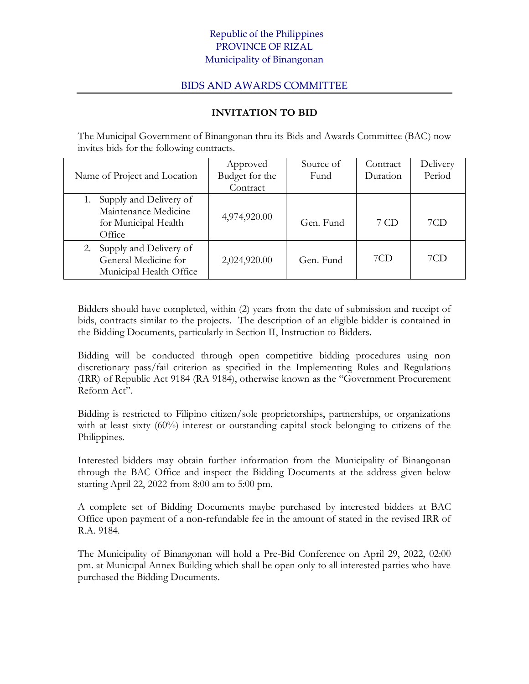## Republic of the Philippines PROVINCE OF RIZAL Municipality of Binangonan

## BIDS AND AWARDS COMMITTEE

## **INVITATION TO BID**

The Municipal Government of Binangonan thru its Bids and Awards Committee (BAC) now invites bids for the following contracts.

|                              | Approved       | Source of | Contract | Delivery |
|------------------------------|----------------|-----------|----------|----------|
| Name of Project and Location | Budget for the | Fund      | Duration | Period   |
|                              | Contract       |           |          |          |
| Supply and Delivery of       |                |           |          |          |
| Maintenance Medicine         | 4,974,920.00   |           |          |          |
| for Municipal Health         |                | Gen. Fund | 7 CD     | 7CD      |
| Office                       |                |           |          |          |
| Supply and Delivery of<br>2. |                |           |          |          |
| General Medicine for         | 2,024,920.00   | Gen. Fund | 7CD      | 7CD      |
| Municipal Health Office      |                |           |          |          |

Bidders should have completed, within (2) years from the date of submission and receipt of bids, contracts similar to the projects. The description of an eligible bidder is contained in the Bidding Documents, particularly in Section II, Instruction to Bidders.

Bidding will be conducted through open competitive bidding procedures using non discretionary pass/fail criterion as specified in the Implementing Rules and Regulations (IRR) of Republic Act 9184 (RA 9184), otherwise known as the "Government Procurement Reform Act".

Bidding is restricted to Filipino citizen/sole proprietorships, partnerships, or organizations with at least sixty (60%) interest or outstanding capital stock belonging to citizens of the Philippines.

Interested bidders may obtain further information from the Municipality of Binangonan through the BAC Office and inspect the Bidding Documents at the address given below starting April 22, 2022 from 8:00 am to 5:00 pm.

A complete set of Bidding Documents maybe purchased by interested bidders at BAC Office upon payment of a non-refundable fee in the amount of stated in the revised IRR of R.A. 9184.

The Municipality of Binangonan will hold a Pre-Bid Conference on April 29, 2022, 02:00 pm. at Municipal Annex Building which shall be open only to all interested parties who have purchased the Bidding Documents.